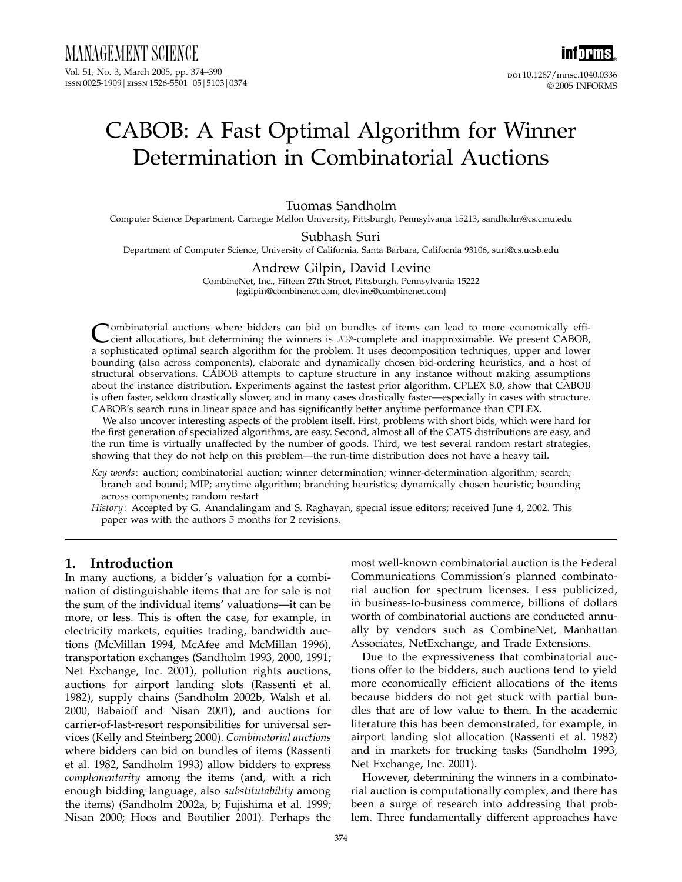

# CABOB: A Fast Optimal Algorithm for Winner Determination in Combinatorial Auctions

## Tuomas Sandholm

Computer Science Department, Carnegie Mellon University, Pittsburgh, Pennsylvania 15213, sandholm@cs.cmu.edu

#### Subhash Suri

Department of Computer Science, University of California, Santa Barbara, California 93106, suri@cs.ucsb.edu

## Andrew Gilpin, David Levine

CombineNet, Inc., Fifteen 27th Street, Pittsburgh, Pennsylvania 15222 {agilpin@combinenet.com, dlevine@combinenet.com}

Combinatorial auctions where bidders can bid on bundles of items can lead to more economically effi-<br>cient allocations, but determining the winners is  $\mathcal{NP}$ -complete and inapproximable. We present CABOB, a sophisticated optimal search algorithm for the problem. It uses decomposition techniques, upper and lower bounding (also across components), elaborate and dynamically chosen bid-ordering heuristics, and a host of structural observations. CABOB attempts to capture structure in any instance without making assumptions about the instance distribution. Experiments against the fastest prior algorithm, CPLEX 8.0, show that CABOB is often faster, seldom drastically slower, and in many cases drastically faster—especially in cases with structure. CABOB's search runs in linear space and has significantly better anytime performance than CPLEX.

We also uncover interesting aspects of the problem itself. First, problems with short bids, which were hard for the first generation of specialized algorithms, are easy. Second, almost all of the CATS distributions are easy, and the run time is virtually unaffected by the number of goods. Third, we test several random restart strategies, showing that they do not help on this problem—the run-time distribution does not have a heavy tail.

Key words: auction; combinatorial auction; winner determination; winner-determination algorithm; search; branch and bound; MIP; anytime algorithm; branching heuristics; dynamically chosen heuristic; bounding across components; random restart

History: Accepted by G. Anandalingam and S. Raghavan, special issue editors; received June 4, 2002. This paper was with the authors 5 months for 2 revisions.

## 1. Introduction

In many auctions, a bidder's valuation for a combination of distinguishable items that are for sale is not the sum of the individual items' valuations—it can be more, or less. This is often the case, for example, in electricity markets, equities trading, bandwidth auctions (McMillan 1994, McAfee and McMillan 1996), transportation exchanges (Sandholm 1993, 2000, 1991; Net Exchange, Inc. 2001), pollution rights auctions, auctions for airport landing slots (Rassenti et al. 1982), supply chains (Sandholm 2002b, Walsh et al. 2000, Babaioff and Nisan 2001), and auctions for carrier-of-last-resort responsibilities for universal services (Kelly and Steinberg 2000). Combinatorial auctions where bidders can bid on bundles of items (Rassenti et al. 1982, Sandholm 1993) allow bidders to express complementarity among the items (and, with a rich enough bidding language, also substitutability among the items) (Sandholm 2002a, b; Fujishima et al. 1999; Nisan 2000; Hoos and Boutilier 2001). Perhaps the

most well-known combinatorial auction is the Federal Communications Commission's planned combinatorial auction for spectrum licenses. Less publicized, in business-to-business commerce, billions of dollars worth of combinatorial auctions are conducted annually by vendors such as CombineNet, Manhattan Associates, NetExchange, and Trade Extensions.

Due to the expressiveness that combinatorial auctions offer to the bidders, such auctions tend to yield more economically efficient allocations of the items because bidders do not get stuck with partial bundles that are of low value to them. In the academic literature this has been demonstrated, for example, in airport landing slot allocation (Rassenti et al. 1982) and in markets for trucking tasks (Sandholm 1993, Net Exchange, Inc. 2001).

However, determining the winners in a combinatorial auction is computationally complex, and there has been a surge of research into addressing that problem. Three fundamentally different approaches have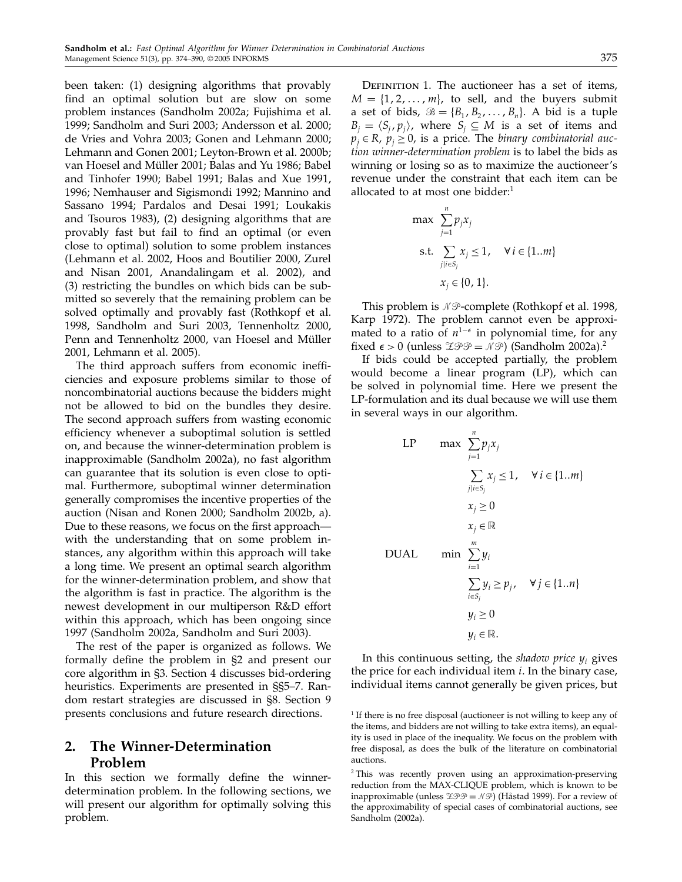been taken: (1) designing algorithms that provably find an optimal solution but are slow on some problem instances (Sandholm 2002a; Fujishima et al. 1999; Sandholm and Suri 2003; Andersson et al. 2000; de Vries and Vohra 2003; Gonen and Lehmann 2000; Lehmann and Gonen 2001; Leyton-Brown et al. 2000b; van Hoesel and Müller 2001; Balas and Yu 1986; Babel and Tinhofer 1990; Babel 1991; Balas and Xue 1991, 1996; Nemhauser and Sigismondi 1992; Mannino and Sassano 1994; Pardalos and Desai 1991; Loukakis and Tsouros 1983), (2) designing algorithms that are provably fast but fail to find an optimal (or even close to optimal) solution to some problem instances (Lehmann et al. 2002, Hoos and Boutilier 2000, Zurel and Nisan 2001, Anandalingam et al. 2002), and (3) restricting the bundles on which bids can be submitted so severely that the remaining problem can be solved optimally and provably fast (Rothkopf et al. 1998, Sandholm and Suri 2003, Tennenholtz 2000, Penn and Tennenholtz 2000, van Hoesel and Müller 2001, Lehmann et al. 2005).

The third approach suffers from economic inefficiencies and exposure problems similar to those of noncombinatorial auctions because the bidders might not be allowed to bid on the bundles they desire. The second approach suffers from wasting economic efficiency whenever a suboptimal solution is settled on, and because the winner-determination problem is inapproximable (Sandholm 2002a), no fast algorithm can guarantee that its solution is even close to optimal. Furthermore, suboptimal winner determination generally compromises the incentive properties of the auction (Nisan and Ronen 2000; Sandholm 2002b, a). Due to these reasons, we focus on the first approach with the understanding that on some problem instances, any algorithm within this approach will take a long time. We present an optimal search algorithm for the winner-determination problem, and show that the algorithm is fast in practice. The algorithm is the newest development in our multiperson R&D effort within this approach, which has been ongoing since 1997 (Sandholm 2002a, Sandholm and Suri 2003).

The rest of the paper is organized as follows. We formally define the problem in §2 and present our core algorithm in §3. Section 4 discusses bid-ordering heuristics. Experiments are presented in §§5–7. Random restart strategies are discussed in §8. Section 9 presents conclusions and future research directions.

# 2. The Winner-Determination Problem

In this section we formally define the winnerdetermination problem. In the following sections, we will present our algorithm for optimally solving this problem.

DEFINITION 1. The auctioneer has a set of items,  $M = \{1, 2, ..., m\}$ , to sell, and the buyers submit a set of bids,  $\mathcal{B} = \{B_1, B_2, \dots, B_n\}$ . A bid is a tuple  $B_i = \langle S_i, p_i \rangle$ , where  $S_i \subseteq M$  is a set of items and  $p_i \in R$ ,  $p_i \geq 0$ , is a price. The binary combinatorial auction winner-determination problem is to label the bids as winning or losing so as to maximize the auctioneer's revenue under the constraint that each item can be allocated to at most one bidder: $<sup>1</sup>$ </sup>

$$
\max \sum_{j=1}^{n} p_j x_j
$$
\n
$$
\text{s.t.} \sum_{j \mid i \in S_j} x_j \le 1, \quad \forall i \in \{1..m\}
$$
\n
$$
x_j \in \{0, 1\}.
$$

This problem is  $\mathcal N\mathcal P$ -complete (Rothkopf et al. 1998, Karp 1972). The problem cannot even be approximated to a ratio of  $n^{1-\epsilon}$  in polynomial time, for any fixed  $\epsilon > 0$  (unless  $\mathcal{L} \mathcal{P} \mathcal{P} = \mathcal{N} \mathcal{P}$ ) (Sandholm 2002a).<sup>2</sup>

If bids could be accepted partially, the problem would become a linear program (LP), which can be solved in polynomial time. Here we present the LP-formulation and its dual because we will use them in several ways in our algorithm.

$$
\begin{aligned}\n\text{LP} \qquad & \max \ \sum_{j=1}^{n} p_j x_j \\
& \sum_{j \in S_j} x_j \le 1, \quad \forall i \in \{1..m\} \\
& x_j \ge 0 \\
& x_j \in \mathbb{R} \\
\text{DUAL} \qquad & \min \ \sum_{i=1}^{m} y_i \\
& \sum_{i \in S_j} y_i \ge p_j, \quad \forall j \in \{1..n\} \\
& y_i \ge 0 \\
& y_i \in \mathbb{R}.\n\end{aligned}
$$

In this continuous setting, the *shadow price*  $y_i$  gives the price for each individual item  $i$ . In the binary case, individual items cannot generally be given prices, but

<sup>&</sup>lt;sup>1</sup> If there is no free disposal (auctioneer is not willing to keep any of the items, and bidders are not willing to take extra items), an equality is used in place of the inequality. We focus on the problem with free disposal, as does the bulk of the literature on combinatorial auctions.

<sup>2</sup> This was recently proven using an approximation-preserving reduction from the MAX-CLIQUE problem, which is known to be inapproximable (unless  $\mathfrak{X}\mathcal{P}\mathcal{P}=\mathcal{N}\mathcal{P}$ ) (Håstad 1999). For a review of the approximability of special cases of combinatorial auctions, see Sandholm (2002a).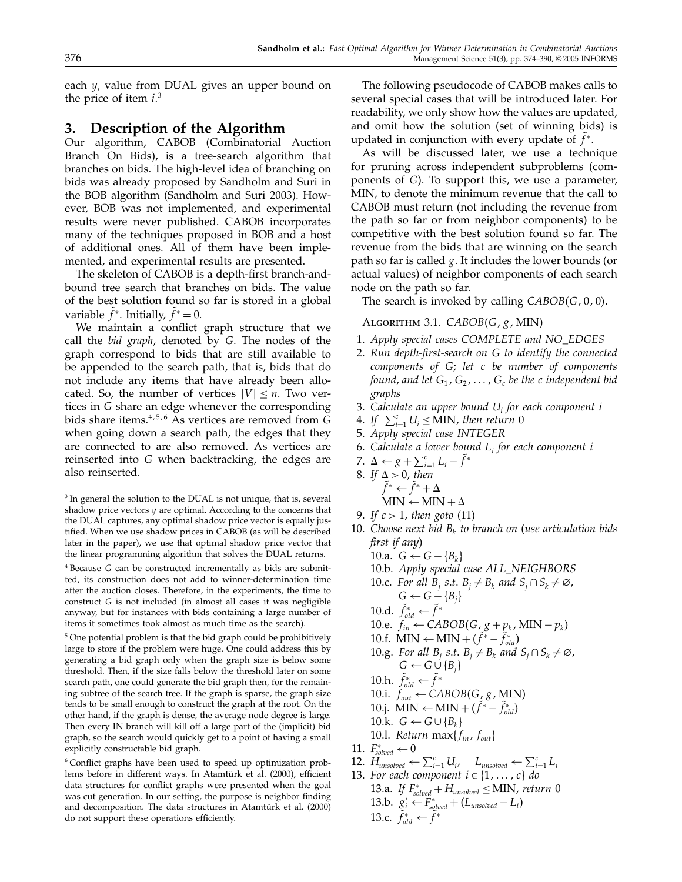each  $y_i$  value from DUAL gives an upper bound on the price of item  $i$ .<sup>3</sup>

## 3. Description of the Algorithm

Our algorithm, CABOB (Combinatorial Auction Branch On Bids), is a tree-search algorithm that branches on bids. The high-level idea of branching on bids was already proposed by Sandholm and Suri in the BOB algorithm (Sandholm and Suri 2003). However, BOB was not implemented, and experimental results were never published. CABOB incorporates many of the techniques proposed in BOB and a host of additional ones. All of them have been implemented, and experimental results are presented.

The skeleton of CABOB is a depth-first branch-andbound tree search that branches on bids. The value of the best solution found so far is stored in a global variable  $\tilde{f}^*$ . Initially,  $\tilde{f}^* = 0$ .

We maintain a conflict graph structure that we call the bid graph, denoted by G. The nodes of the graph correspond to bids that are still available to be appended to the search path, that is, bids that do not include any items that have already been allocated. So, the number of vertices  $|V| \le n$ . Two vertices in G share an edge whenever the corresponding bids share items.<sup>4,5,6</sup> As vertices are removed from G when going down a search path, the edges that they are connected to are also removed. As vertices are reinserted into G when backtracking, the edges are also reinserted.

<sup>3</sup> In general the solution to the DUAL is not unique, that is, several shadow price vectors y are optimal. According to the concerns that the DUAL captures, any optimal shadow price vector is equally justified. When we use shadow prices in CABOB (as will be described later in the paper), we use that optimal shadow price vector that the linear programming algorithm that solves the DUAL returns.

<sup>4</sup> Because G can be constructed incrementally as bids are submitted, its construction does not add to winner-determination time after the auction closes. Therefore, in the experiments, the time to construct G is not included (in almost all cases it was negligible anyway, but for instances with bids containing a large number of items it sometimes took almost as much time as the search).

<sup>5</sup> One potential problem is that the bid graph could be prohibitively large to store if the problem were huge. One could address this by generating a bid graph only when the graph size is below some threshold. Then, if the size falls below the threshold later on some search path, one could generate the bid graph then, for the remaining subtree of the search tree. If the graph is sparse, the graph size tends to be small enough to construct the graph at the root. On the other hand, if the graph is dense, the average node degree is large. Then every IN branch will kill off a large part of the (implicit) bid graph, so the search would quickly get to a point of having a small explicitly constructable bid graph.

<sup>6</sup> Conflict graphs have been used to speed up optimization problems before in different ways. In Atamtürk et al. (2000), efficient data structures for conflict graphs were presented when the goal was cut generation. In our setting, the purpose is neighbor finding and decomposition. The data structures in Atamtürk et al. (2000) do not support these operations efficiently.

The following pseudocode of CABOB makes calls to several special cases that will be introduced later. For readability, we only show how the values are updated, and omit how the solution (set of winning bids) is updated in conjunction with every update of  $f^*$ .

As will be discussed later, we use a technique for pruning across independent subproblems (components of G). To support this, we use a parameter, MIN, to denote the minimum revenue that the call to CABOB must return (not including the revenue from the path so far or from neighbor components) to be competitive with the best solution found so far. The revenue from the bids that are winning on the search path so far is called  $g$ . It includes the lower bounds (or actual values) of neighbor components of each search node on the path so far.

The search is invoked by calling  $CABOB(G, 0, 0)$ .

## ALGORITHM 3.1.  $CABOB(G, g, MIN)$

- 1. Apply special cases COMPLETE and NO\_EDGES
- 2. Run depth-first-search on G to identify the connected components of G; let c be number of components found, and let  $G_1, G_2, \ldots, G_c$  be the c independent bid graphs
- 3. Calculate an upper bound  $U_i$  for each component i
- 4. If  $\sum_{i=1}^{c} U_i \leq MIN$ , then return 0
- 5. Apply special case INTEGER
- 6. Calculate a lower bound  $L_i$  for each component i
- 7.  $\Delta \leftarrow g + \sum_{i=1}^{c} L_i \tilde{f}^*$ 8. If  $\Delta > 0$ , then  $\tilde{f}^* \leftarrow \tilde{f}^* + \Lambda$

$$
MIN \leftarrow MIN + \Delta
$$

- 9. If  $c > 1$ , then goto (11)
- 10. Choose next bid  $B_k$  to branch on (use articulation bids first if any)
	- 10.a.  $G \leftarrow G \{B_k\}$
	- 10.b. Apply special case ALL\_NEIGHBORS
	- 10.c. For all  $B_i$  s.t.  $B_i \neq B_k$  and  $S_i \cap S_k \neq \emptyset$ ,
	- $G \leftarrow G \{B_j\}$

10.d. 
$$
f_{old}^* \leftarrow f^*
$$

- 10.e.  $f_{in}$  ← CABOB(G<sub>z</sub>g +  $p_k$ , MIN  $p_k$ )
- 10.f. MIN  $\leftarrow$  MIN +  $(f^* f^*_{old})$
- 10.g. For all  $B_i$  s.t.  $B_i \neq B_k$  and  $S_i \cap S_k \neq \emptyset$ ,  $G \leftarrow G \cup \{B_j\}$
- 10.h.  $f_{old}^* \leftarrow f^*$
- 10.i.  $f_{out} \leftarrow CABOB(G_j g, MIN)$

10. j. MIN 
$$
\leftarrow
$$
 MIN +  $(f^* - f^*_{old})$ 

- 10.k.  $G \leftarrow G \cup \{B_k\}$
- 10.1. Return max $\{f_{in}, f_{out}\}$
- 11.  $F_{solved}^* \leftarrow 0$
- 12.  $H_{unsolved} \leftarrow \sum_{i=1}^{c} U_i$ ,  $L_{unsolved} \leftarrow \sum_{i=1}^{c} L_i$
- 13. For each component  $i \in \{1, \ldots, c\}$  do 13.a. If  $F_{solved}^* + H_{unsolved} \leq \text{MIN},$  return 0 13.b.  $g'_i \leftarrow F_{solved}^* + (L_{unsolved} - L_i)$ 13.c.  $f_{old}^* \leftarrow f^*$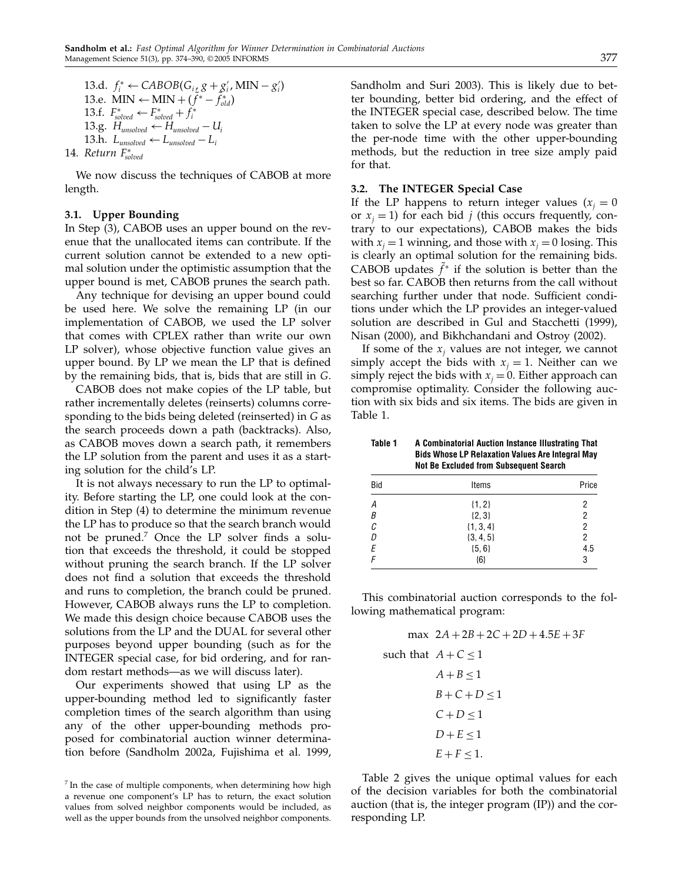13.d.  $f_i^* \leftarrow CABOB(G_{i\angle} g + g_i', \text{MIN} - g_i')$ 13.e. MIN  $\leftarrow$  MIN +  $(f^* - f^*_{old})$ 13.f.  $F_{solved}^* \leftarrow F_{solved}^* + f_i^*$ <br>13.g.  $H_{unsolved} \leftarrow H_{unsolved} - U_i$ 13.h.  $L_{unsolved} \leftarrow L_{unsolved} - L_i$ 

14. Return F<sub>solved</sub>

We now discuss the techniques of CABOB at more length.

#### 3.1. Upper Bounding

In Step (3), CABOB uses an upper bound on the revenue that the unallocated items can contribute. If the current solution cannot be extended to a new optimal solution under the optimistic assumption that the upper bound is met, CABOB prunes the search path.

Any technique for devising an upper bound could be used here. We solve the remaining LP (in our implementation of CABOB, we used the LP solver that comes with CPLEX rather than write our own LP solver), whose objective function value gives an upper bound. By LP we mean the LP that is defined by the remaining bids, that is, bids that are still in G.

CABOB does not make copies of the LP table, but rather incrementally deletes (reinserts) columns corresponding to the bids being deleted (reinserted) in G as the search proceeds down a path (backtracks). Also, as CABOB moves down a search path, it remembers the LP solution from the parent and uses it as a starting solution for the child's LP.

It is not always necessary to run the LP to optimality. Before starting the LP, one could look at the condition in Step (4) to determine the minimum revenue the LP has to produce so that the search branch would not be pruned.<sup>7</sup> Once the LP solver finds a solution that exceeds the threshold, it could be stopped without pruning the search branch. If the LP solver does not find a solution that exceeds the threshold and runs to completion, the branch could be pruned. However, CABOB always runs the LP to completion. We made this design choice because CABOB uses the solutions from the LP and the DUAL for several other purposes beyond upper bounding (such as for the INTEGER special case, for bid ordering, and for random restart methods—as we will discuss later).

Our experiments showed that using LP as the upper-bounding method led to significantly faster completion times of the search algorithm than using any of the other upper-bounding methods proposed for combinatorial auction winner determination before (Sandholm 2002a, Fujishima et al. 1999,

Sandholm and Suri 2003). This is likely due to better bounding, better bid ordering, and the effect of the INTEGER special case, described below. The time taken to solve the LP at every node was greater than the per-node time with the other upper-bounding methods, but the reduction in tree size amply paid for that.

#### 3.2. The INTEGER Special Case

If the LP happens to return integer values ( $x_i = 0$ or  $x_i = 1$ ) for each bid *j* (this occurs frequently, contrary to our expectations), CABOB makes the bids with  $x<sub>i</sub> = 1$  winning, and those with  $x<sub>i</sub> = 0$  losing. This is clearly an optimal solution for the remaining bids. CABOB updates  $\tilde{f}^*$  if the solution is better than the best so far. CABOB then returns from the call without searching further under that node. Sufficient conditions under which the LP provides an integer-valued solution are described in Gul and Stacchetti (1999), Nisan (2000), and Bikhchandani and Ostroy (2002).

If some of the  $x_i$  values are not integer, we cannot simply accept the bids with  $x<sub>i</sub> = 1$ . Neither can we simply reject the bids with  $x_i = 0$ . Either approach can compromise optimality. Consider the following auction with six bids and six items. The bids are given in Table 1.

| Table 1 | A Combinatorial Auction Instance Illustrating That<br><b>Bids Whose LP Relaxation Values Are Integral May</b><br><b>Not Be Excluded from Subsequent Search</b> |
|---------|----------------------------------------------------------------------------------------------------------------------------------------------------------------|
|         |                                                                                                                                                                |

| Bid | Items         | Price          |
|-----|---------------|----------------|
| А   | ${1, 2}$      | 2              |
| Β   | ${2, 3}$      | $\overline{2}$ |
| C   | $\{1, 3, 4\}$ | $\overline{2}$ |
| D   | ${3, 4, 5}$   | $\overline{2}$ |
| F   | ${5, 6}$      | 4.5            |
|     | ${6}$         | 3              |

This combinatorial auction corresponds to the following mathematical program:

> max  $2A + 2B + 2C + 2D + 4.5E + 3F$ such that  $A + C \leq 1$  $A + B \leq 1$  $B + C + D < 1$  $C + D \leq 1$  $D + E \leq 1$  $E + F \leq 1$ .

Table 2 gives the unique optimal values for each of the decision variables for both the combinatorial auction (that is, the integer program (IP)) and the corresponding LP.

<sup>&</sup>lt;sup>7</sup> In the case of multiple components, when determining how high a revenue one component's LP has to return, the exact solution values from solved neighbor components would be included, as well as the upper bounds from the unsolved neighbor components.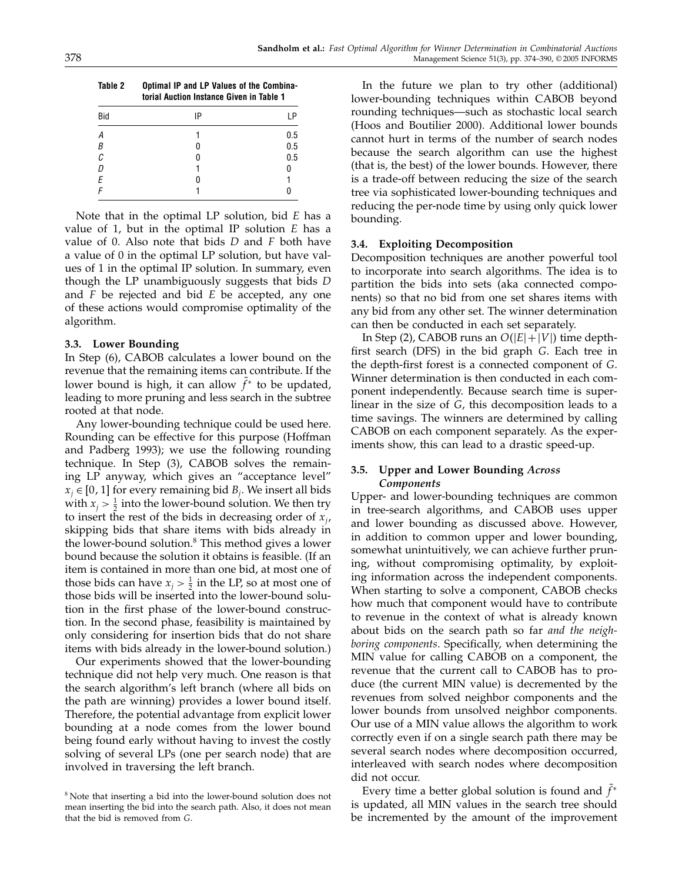| Table 2 | <b>Optimal IP and LP Values of the Combina-</b><br>torial Auction Instance Given in Table 1 |     |  |
|---------|---------------------------------------------------------------------------------------------|-----|--|
| Bid     | IP                                                                                          | ΙP  |  |
|         |                                                                                             | 0.5 |  |
| R       |                                                                                             | 0.5 |  |
| C       |                                                                                             | 0.5 |  |
|         |                                                                                             |     |  |
| F       |                                                                                             |     |  |
|         |                                                                                             |     |  |

Note that in the optimal LP solution, bid E has a value of 1, but in the optimal IP solution  $E$  has a value of 0. Also note that bids  $D$  and  $F$  both have a value of 0 in the optimal LP solution, but have values of 1 in the optimal IP solution. In summary, even though the LP unambiguously suggests that bids D and  $F$  be rejected and bid  $E$  be accepted, any one of these actions would compromise optimality of the algorithm.

## 3.3. Lower Bounding

In Step (6), CABOB calculates a lower bound on the revenue that the remaining items can contribute. If the lower bound is high, it can allow  $f^*$  to be updated, leading to more pruning and less search in the subtree rooted at that node.

Any lower-bounding technique could be used here. Rounding can be effective for this purpose (Hoffman and Padberg 1993); we use the following rounding technique. In Step (3), CABOB solves the remaining LP anyway, which gives an "acceptance level"  $x_i \in [0, 1]$  for every remaining bid  $B_i$ . We insert all bids with  $x_j > \frac{1}{2}$  into the lower-bound solution. We then try to insert the rest of the bids in decreasing order of  $x_i$ , skipping bids that share items with bids already in the lower-bound solution.<sup>8</sup> This method gives a lower bound because the solution it obtains is feasible. (If an item is contained in more than one bid, at most one of those bids can have  $x_j > \frac{1}{2}$  in the LP, so at most one of those bids will be inserted into the lower-bound solution in the first phase of the lower-bound construction. In the second phase, feasibility is maintained by only considering for insertion bids that do not share items with bids already in the lower-bound solution.)

Our experiments showed that the lower-bounding technique did not help very much. One reason is that the search algorithm's left branch (where all bids on the path are winning) provides a lower bound itself. Therefore, the potential advantage from explicit lower bounding at a node comes from the lower bound being found early without having to invest the costly solving of several LPs (one per search node) that are involved in traversing the left branch.

In the future we plan to try other (additional) lower-bounding techniques within CABOB beyond rounding techniques—such as stochastic local search (Hoos and Boutilier 2000). Additional lower bounds cannot hurt in terms of the number of search nodes because the search algorithm can use the highest (that is, the best) of the lower bounds. However, there is a trade-off between reducing the size of the search tree via sophisticated lower-bounding techniques and reducing the per-node time by using only quick lower bounding.

#### 3.4. Exploiting Decomposition

Decomposition techniques are another powerful tool to incorporate into search algorithms. The idea is to partition the bids into sets (aka connected components) so that no bid from one set shares items with any bid from any other set. The winner determination can then be conducted in each set separately.

In Step (2), CABOB runs an  $O(|E|+|V|)$  time depthfirst search (DFS) in the bid graph G. Each tree in the depth-first forest is a connected component of G. Winner determination is then conducted in each component independently. Because search time is superlinear in the size of G, this decomposition leads to a time savings. The winners are determined by calling CABOB on each component separately. As the experiments show, this can lead to a drastic speed-up.

## 3.5. Upper and Lower Bounding Across Components

Upper- and lower-bounding techniques are common in tree-search algorithms, and CABOB uses upper and lower bounding as discussed above. However, in addition to common upper and lower bounding, somewhat unintuitively, we can achieve further pruning, without compromising optimality, by exploiting information across the independent components. When starting to solve a component, CABOB checks how much that component would have to contribute to revenue in the context of what is already known about bids on the search path so far and the neighboring components. Specifically, when determining the MIN value for calling CABOB on a component, the revenue that the current call to CABOB has to produce (the current MIN value) is decremented by the revenues from solved neighbor components and the lower bounds from unsolved neighbor components. Our use of a MIN value allows the algorithm to work correctly even if on a single search path there may be several search nodes where decomposition occurred, interleaved with search nodes where decomposition did not occur.

Every time a better global solution is found and  $f^*$ is updated, all MIN values in the search tree should be incremented by the amount of the improvement

<sup>8</sup> Note that inserting a bid into the lower-bound solution does not mean inserting the bid into the search path. Also, it does not mean that the bid is removed from G.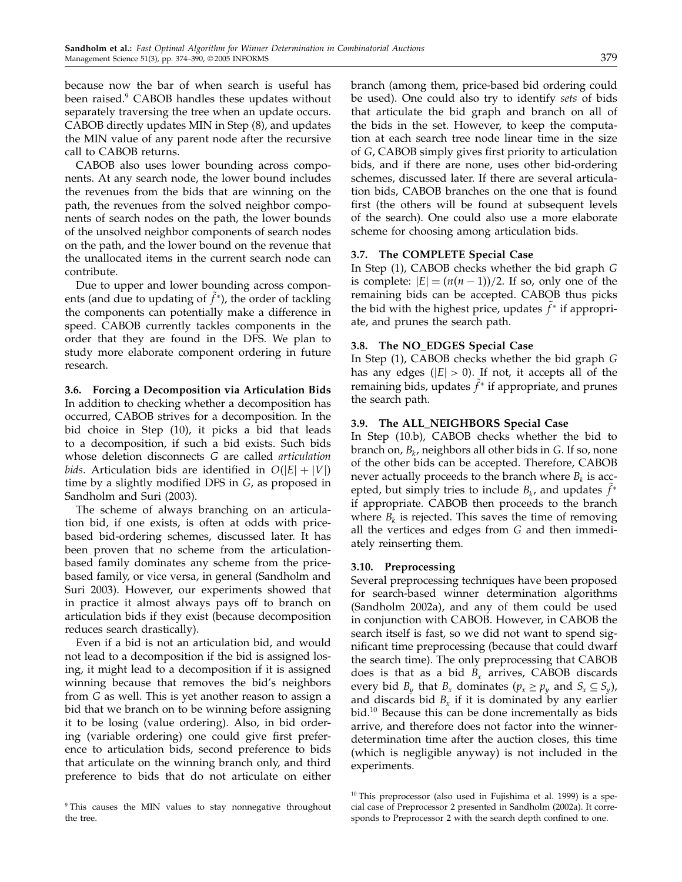because now the bar of when search is useful has been raised.<sup>9</sup> CABOB handles these updates without separately traversing the tree when an update occurs. CABOB directly updates MIN in Step (8), and updates the MIN value of any parent node after the recursive call to CABOB returns.

CABOB also uses lower bounding across components. At any search node, the lower bound includes the revenues from the bids that are winning on the path, the revenues from the solved neighbor components of search nodes on the path, the lower bounds of the unsolved neighbor components of search nodes on the path, and the lower bound on the revenue that the unallocated items in the current search node can contribute.

Due to upper and lower bounding across components (and due to updating of  $f^*$ ), the order of tackling the components can potentially make a difference in speed. CABOB currently tackles components in the order that they are found in the DFS. We plan to study more elaborate component ordering in future research.

3.6. Forcing a Decomposition via Articulation Bids In addition to checking whether a decomposition has occurred, CABOB strives for a decomposition. In the bid choice in Step (10), it picks a bid that leads to a decomposition, if such a bid exists. Such bids whose deletion disconnects G are called *articulation* bids. Articulation bids are identified in  $O(|E|+|V|)$ time by a slightly modified DFS in G, as proposed in Sandholm and Suri (2003).

The scheme of always branching on an articulation bid, if one exists, is often at odds with pricebased bid-ordering schemes, discussed later. It has been proven that no scheme from the articulationbased family dominates any scheme from the pricebased family, or vice versa, in general (Sandholm and Suri 2003). However, our experiments showed that in practice it almost always pays off to branch on articulation bids if they exist (because decomposition reduces search drastically).

Even if a bid is not an articulation bid, and would not lead to a decomposition if the bid is assigned losing, it might lead to a decomposition if it is assigned winning because that removes the bid's neighbors from G as well. This is yet another reason to assign a bid that we branch on to be winning before assigning it to be losing (value ordering). Also, in bid ordering (variable ordering) one could give first preference to articulation bids, second preference to bids that articulate on the winning branch only, and third preference to bids that do not articulate on either

branch (among them, price-based bid ordering could be used). One could also try to identify sets of bids that articulate the bid graph and branch on all of the bids in the set. However, to keep the computation at each search tree node linear time in the size of G, CABOB simply gives first priority to articulation bids, and if there are none, uses other bid-ordering schemes, discussed later. If there are several articulation bids, CABOB branches on the one that is found first (the others will be found at subsequent levels of the search). One could also use a more elaborate scheme for choosing among articulation bids.

## 3.7. The COMPLETE Special Case

In Step (1), CABOB checks whether the bid graph G is complete:  $|E| = (n(n-1))/2$ . If so, only one of the remaining bids can be accepted. CABOB thus picks the bid with the highest price, updates  $f^*$  if appropriate, and prunes the search path.

## 3.8. The NO\_EDGES Special Case

In Step (1), CABOB checks whether the bid graph G has any edges ( $|E| > 0$ ). If not, it accepts all of the remaining bids, updates  $f^*$  if appropriate, and prunes the search path.

## 3.9. The ALL\_NEIGHBORS Special Case

In Step (10.b), CABOB checks whether the bid to branch on,  $B_k$ , neighbors all other bids in G. If so, none of the other bids can be accepted. Therefore, CABOB never actually proceeds to the branch where  $B_k$  is accepted, but simply tries to include  $B_k$ , and updates  $f^*$ if appropriate. CABOB then proceeds to the branch where  $B_k$  is rejected. This saves the time of removing all the vertices and edges from G and then immediately reinserting them.

## 3.10. Preprocessing

Several preprocessing techniques have been proposed for search-based winner determination algorithms (Sandholm 2002a), and any of them could be used in conjunction with CABOB. However, in CABOB the search itself is fast, so we did not want to spend significant time preprocessing (because that could dwarf the search time). The only preprocessing that CABOB does is that as a bid  $B_x$  arrives, CABOB discards every bid  $B_{\nu}$  that  $B_{\nu}$  dominates  $(p_{x} \geq p_{\nu})$  and  $S_{\nu} \subseteq S_{\nu}$ ), and discards bid  $B_x$  if it is dominated by any earlier bid.10 Because this can be done incrementally as bids arrive, and therefore does not factor into the winnerdetermination time after the auction closes, this time (which is negligible anyway) is not included in the experiments.

<sup>&</sup>lt;sup>9</sup> This causes the MIN values to stay nonnegative throughout the tree.

 $10$  This preprocessor (also used in Fujishima et al. 1999) is a special case of Preprocessor 2 presented in Sandholm (2002a). It corresponds to Preprocessor 2 with the search depth confined to one.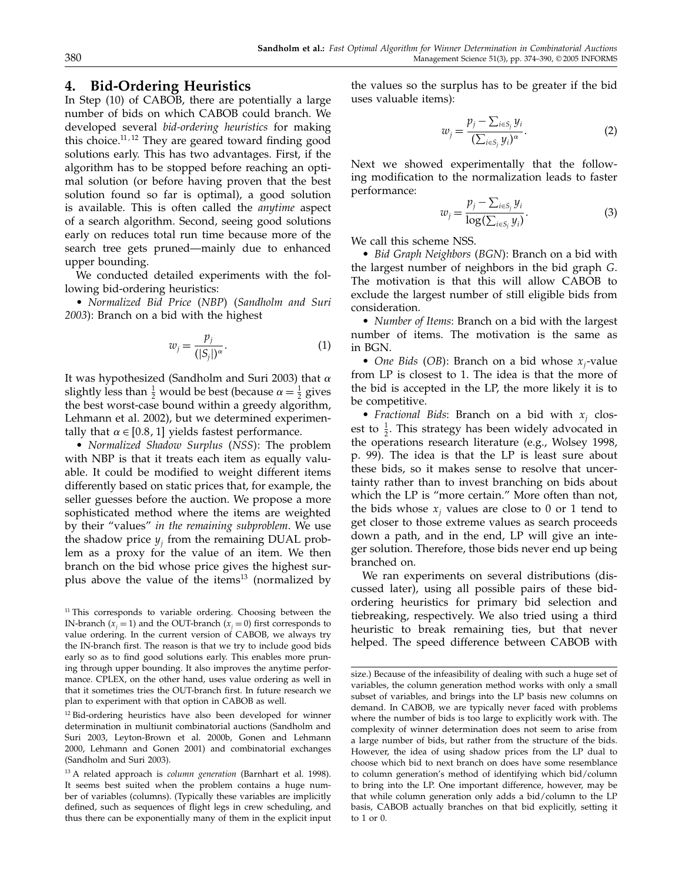## 4. Bid-Ordering Heuristics

In Step (10) of CABOB, there are potentially a large number of bids on which CABOB could branch. We developed several bid-ordering heuristics for making this choice.<sup>11,12</sup> They are geared toward finding good solutions early. This has two advantages. First, if the algorithm has to be stopped before reaching an optimal solution (or before having proven that the best solution found so far is optimal), a good solution is available. This is often called the anytime aspect of a search algorithm. Second, seeing good solutions early on reduces total run time because more of the search tree gets pruned—mainly due to enhanced upper bounding.

We conducted detailed experiments with the following bid-ordering heuristics:

• Normalized Bid Price (NBP) (Sandholm and Suri 2003: Branch on a bid with the highest

$$
w_j = \frac{p_j}{(|S_j|)^\alpha}.\tag{1}
$$

It was hypothesized (Sandholm and Suri 2003) that  $\alpha$ slightly less than  $\frac{1}{2}$  would be best (because  $\alpha = \frac{1}{2}$  gives the best worst-case bound within a greedy algorithm, Lehmann et al. 2002), but we determined experimentally that  $\alpha \in [0.8, 1]$  yields fastest performance.

• Normalized Shadow Surplus (NSS): The problem with NBP is that it treats each item as equally valuable. It could be modified to weight different items differently based on static prices that, for example, the seller guesses before the auction. We propose a more sophisticated method where the items are weighted by their "values" in the remaining subproblem. We use the shadow price  $y_i$  from the remaining DUAL problem as a proxy for the value of an item. We then branch on the bid whose price gives the highest surplus above the value of the items<sup>13</sup> (normalized by

the values so the surplus has to be greater if the bid uses valuable items):

$$
w_j = \frac{p_j - \sum_{i \in S_j} y_i}{\left(\sum_{i \in S_j} y_i\right)^\alpha}.
$$
 (2)

Next we showed experimentally that the following modification to the normalization leads to faster performance:

$$
w_j = \frac{p_j - \sum_{i \in S_j} y_i}{\log(\sum_{i \in S_j} y_i)}.
$$
\n(3)

We call this scheme NSS.

• Bid Graph Neighbors (BGN): Branch on a bid with the largest number of neighbors in the bid graph G. The motivation is that this will allow CABOB to exclude the largest number of still eligible bids from consideration.

• *Number of Items: Branch on a bid with the largest* number of items. The motivation is the same as in BGN.

• One Bids (OB): Branch on a bid whose  $x_i$ -value from LP is closest to 1. The idea is that the more of the bid is accepted in the LP, the more likely it is to be competitive.

• Fractional Bids: Branch on a bid with  $x_i$  closest to  $\frac{1}{2}$ . This strategy has been widely advocated in the operations research literature (e.g., Wolsey 1998, p. 99). The idea is that the LP is least sure about these bids, so it makes sense to resolve that uncertainty rather than to invest branching on bids about which the LP is "more certain." More often than not, the bids whose  $x_i$  values are close to 0 or 1 tend to get closer to those extreme values as search proceeds down a path, and in the end, LP will give an integer solution. Therefore, those bids never end up being branched on.

We ran experiments on several distributions (discussed later), using all possible pairs of these bidordering heuristics for primary bid selection and tiebreaking, respectively. We also tried using a third heuristic to break remaining ties, but that never helped. The speed difference between CABOB with

<sup>&</sup>lt;sup>11</sup> This corresponds to variable ordering. Choosing between the IN-branch ( $x_i = 1$ ) and the OUT-branch ( $x_i = 0$ ) first corresponds to value ordering. In the current version of CABOB, we always try the IN-branch first. The reason is that we try to include good bids early so as to find good solutions early. This enables more pruning through upper bounding. It also improves the anytime performance. CPLEX, on the other hand, uses value ordering as well in that it sometimes tries the OUT-branch first. In future research we plan to experiment with that option in CABOB as well.

<sup>&</sup>lt;sup>12</sup> Bid-ordering heuristics have also been developed for winner determination in multiunit combinatorial auctions (Sandholm and Suri 2003, Leyton-Brown et al. 2000b, Gonen and Lehmann 2000, Lehmann and Gonen 2001) and combinatorial exchanges (Sandholm and Suri 2003).

<sup>&</sup>lt;sup>13</sup> A related approach is *column generation* (Barnhart et al. 1998). It seems best suited when the problem contains a huge number of variables (columns). (Typically these variables are implicitly defined, such as sequences of flight legs in crew scheduling, and thus there can be exponentially many of them in the explicit input

size.) Because of the infeasibility of dealing with such a huge set of variables, the column generation method works with only a small subset of variables, and brings into the LP basis new columns on demand. In CABOB, we are typically never faced with problems where the number of bids is too large to explicitly work with. The complexity of winner determination does not seem to arise from a large number of bids, but rather from the structure of the bids. However, the idea of using shadow prices from the LP dual to choose which bid to next branch on does have some resemblance to column generation's method of identifying which bid/column to bring into the LP. One important difference, however, may be that while column generation only adds a bid/column to the LP basis, CABOB actually branches on that bid explicitly, setting it to 1 or 0.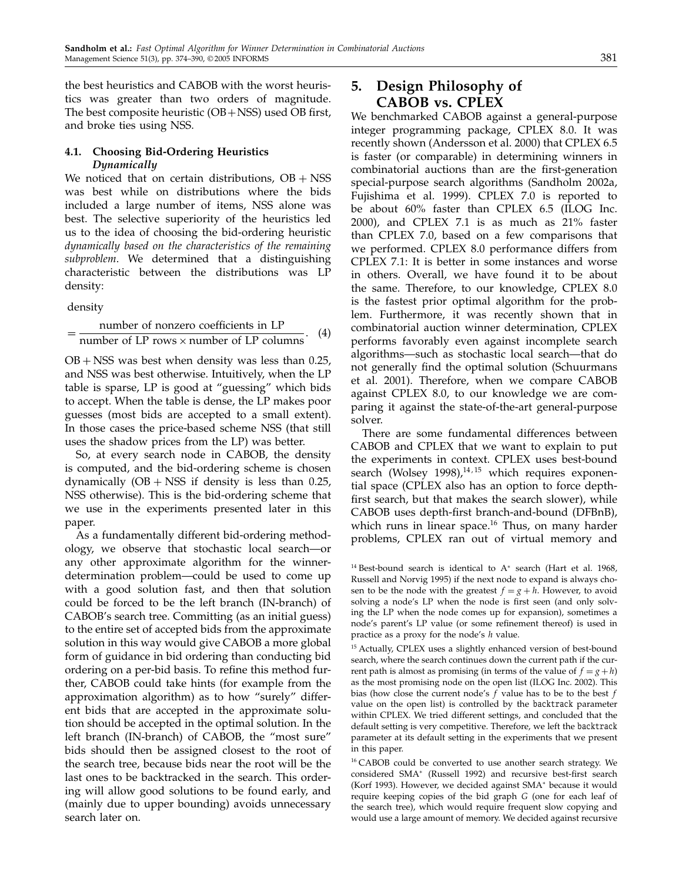the best heuristics and CABOB with the worst heuristics was greater than two orders of magnitude. The best composite heuristic (OB+NSS) used OB first, and broke ties using NSS.

## 4.1. Choosing Bid-Ordering Heuristics Dynamically

We noticed that on certain distributions,  $OB + NSS$ was best while on distributions where the bids included a large number of items, NSS alone was best. The selective superiority of the heuristics led us to the idea of choosing the bid-ordering heuristic dynamically based on the characteristics of the remaining subproblem. We determined that a distinguishing characteristic between the distributions was LP density:

density

$$
= \frac{\text{number of nonzero coefficients in LP}}{\text{number of LP rows} \times \text{number of LP columns}}.
$$
 (4)

 $OB + NSS$  was best when density was less than 0.25, and NSS was best otherwise. Intuitively, when the LP table is sparse, LP is good at "guessing" which bids to accept. When the table is dense, the LP makes poor guesses (most bids are accepted to a small extent). In those cases the price-based scheme NSS (that still uses the shadow prices from the LP) was better.

So, at every search node in CABOB, the density is computed, and the bid-ordering scheme is chosen dynamically  $(OB + NSS)$  if density is less than 0.25, NSS otherwise). This is the bid-ordering scheme that we use in the experiments presented later in this paper.

As a fundamentally different bid-ordering methodology, we observe that stochastic local search—or any other approximate algorithm for the winnerdetermination problem—could be used to come up with a good solution fast, and then that solution could be forced to be the left branch (IN-branch) of CABOB's search tree. Committing (as an initial guess) to the entire set of accepted bids from the approximate solution in this way would give CABOB a more global form of guidance in bid ordering than conducting bid ordering on a per-bid basis. To refine this method further, CABOB could take hints (for example from the approximation algorithm) as to how "surely" different bids that are accepted in the approximate solution should be accepted in the optimal solution. In the left branch (IN-branch) of CABOB, the "most sure" bids should then be assigned closest to the root of the search tree, because bids near the root will be the last ones to be backtracked in the search. This ordering will allow good solutions to be found early, and (mainly due to upper bounding) avoids unnecessary search later on.

# 5. Design Philosophy of CABOB vs. CPLEX

We benchmarked CABOB against a general-purpose integer programming package, CPLEX 8.0. It was recently shown (Andersson et al. 2000) that CPLEX 6.5 is faster (or comparable) in determining winners in combinatorial auctions than are the first-generation special-purpose search algorithms (Sandholm 2002a, Fujishima et al. 1999). CPLEX 7.0 is reported to be about 60% faster than CPLEX 6.5 (ILOG Inc. 2000), and CPLEX 7.1 is as much as 21% faster than CPLEX 7.0, based on a few comparisons that we performed. CPLEX 8.0 performance differs from CPLEX 7.1: It is better in some instances and worse in others. Overall, we have found it to be about the same. Therefore, to our knowledge, CPLEX 8.0 is the fastest prior optimal algorithm for the problem. Furthermore, it was recently shown that in combinatorial auction winner determination, CPLEX performs favorably even against incomplete search algorithms—such as stochastic local search—that do not generally find the optimal solution (Schuurmans et al. 2001). Therefore, when we compare CABOB against CPLEX 8.0, to our knowledge we are comparing it against the state-of-the-art general-purpose solver.

There are some fundamental differences between CABOB and CPLEX that we want to explain to put the experiments in context. CPLEX uses best-bound search (Wolsey 1998), $14,15$  which requires exponential space (CPLEX also has an option to force depthfirst search, but that makes the search slower), while CABOB uses depth-first branch-and-bound (DFBnB), which runs in linear space. $16$  Thus, on many harder problems, CPLEX ran out of virtual memory and

<sup>16</sup> CABOB could be converted to use another search strategy. We considered SMA<sup>∗</sup> (Russell 1992) and recursive best-first search (Korf 1993). However, we decided against SMA<sup>∗</sup> because it would require keeping copies of the bid graph G (one for each leaf of the search tree), which would require frequent slow copying and would use a large amount of memory. We decided against recursive

<sup>&</sup>lt;sup>14</sup> Best-bound search is identical to A<sup>\*</sup> search (Hart et al. 1968, Russell and Norvig 1995) if the next node to expand is always chosen to be the node with the greatest  $f = g + h$ . However, to avoid solving a node's LP when the node is first seen (and only solving the LP when the node comes up for expansion), sometimes a node's parent's LP value (or some refinement thereof) is used in practice as a proxy for the node's h value.

<sup>&</sup>lt;sup>15</sup> Actually, CPLEX uses a slightly enhanced version of best-bound search, where the search continues down the current path if the current path is almost as promising (in terms of the value of  $f = g + h$ ) as the most promising node on the open list (ILOG Inc. 2002). This bias (how close the current node's  $f$  value has to be to the best  $f$ value on the open list) is controlled by the backtrack parameter within CPLEX. We tried different settings, and concluded that the default setting is very competitive. Therefore, we left the backtrack parameter at its default setting in the experiments that we present in this paper.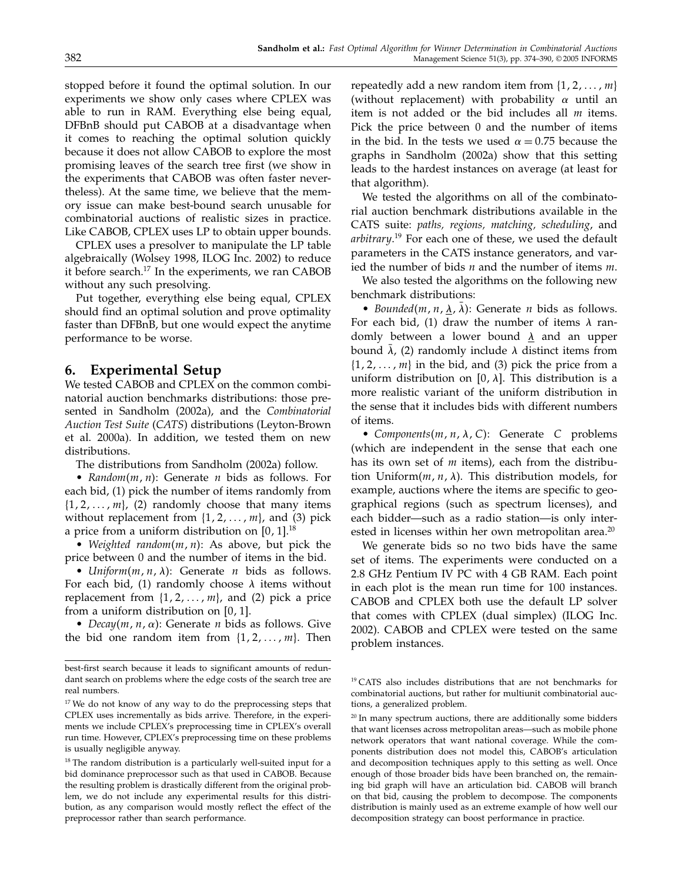stopped before it found the optimal solution. In our experiments we show only cases where CPLEX was able to run in RAM. Everything else being equal, DFBnB should put CABOB at a disadvantage when it comes to reaching the optimal solution quickly because it does not allow CABOB to explore the most promising leaves of the search tree first (we show in the experiments that CABOB was often faster nevertheless). At the same time, we believe that the memory issue can make best-bound search unusable for combinatorial auctions of realistic sizes in practice. Like CABOB, CPLEX uses LP to obtain upper bounds.

CPLEX uses a presolver to manipulate the LP table algebraically (Wolsey 1998, ILOG Inc. 2002) to reduce it before search.<sup>17</sup> In the experiments, we ran CABOB without any such presolving.

Put together, everything else being equal, CPLEX should find an optimal solution and prove optimality faster than DFBnB, but one would expect the anytime performance to be worse.

# 6. Experimental Setup

We tested CABOB and CPLEX on the common combinatorial auction benchmarks distributions: those presented in Sandholm (2002a), and the Combinatorial Auction Test Suite (CATS) distributions (Leyton-Brown et al. 2000a). In addition, we tested them on new distributions.

The distributions from Sandholm (2002a) follow.

• Random $(m, n)$ : Generate *n* bids as follows. For each bid, (1) pick the number of items randomly from  $\{1, 2, \ldots, m\}$ , (2) randomly choose that many items without replacement from  $\{1, 2, \ldots, m\}$ , and (3) pick a price from a uniform distribution on  $[0, 1]$ .<sup>18</sup>

• Weighted random $(m, n)$ : As above, but pick the price between 0 and the number of items in the bid.

• Uniform $(m, n, \lambda)$ : Generate *n* bids as follows. For each bid, (1) randomly choose  $\lambda$  items without replacement from  $\{1, 2, \ldots, m\}$ , and (2) pick a price from a uniform distribution on  $[0, 1]$ .

• *Decay* $(m, n, \alpha)$ : Generate *n* bids as follows. Give the bid one random item from  $\{1, 2, \ldots, m\}$ . Then

repeatedly add a new random item from  $\{1, 2, \ldots, m\}$ (without replacement) with probability  $\alpha$  until an item is not added or the bid includes all m items. Pick the price between 0 and the number of items in the bid. In the tests we used  $\alpha = 0.75$  because the graphs in Sandholm (2002a) show that this setting leads to the hardest instances on average (at least for that algorithm).

We tested the algorithms on all of the combinatorial auction benchmark distributions available in the CATS suite: paths, regions, matching, scheduling, and arbitrary.<sup>19</sup> For each one of these, we used the default parameters in the CATS instance generators, and varied the number of bids  $n$  and the number of items  $m$ .

We also tested the algorithms on the following new benchmark distributions:

• Bounded( $m, n, \lambda, \lambda$ ): Generate *n* bids as follows. For each bid, (1) draw the number of items  $\lambda$  randomly between a lower bound  $\lambda$  and an upper bound  $\lambda$ , (2) randomly include  $\lambda$  distinct items from  $\{1, 2, \ldots, m\}$  in the bid, and (3) pick the price from a uniform distribution on  $[0, \lambda]$ . This distribution is a more realistic variant of the uniform distribution in the sense that it includes bids with different numbers of items.

• Components $(m, n, \lambda, C)$ : Generate C problems (which are independent in the sense that each one has its own set of  $m$  items), each from the distribution Uniform $(m, n, \lambda)$ . This distribution models, for example, auctions where the items are specific to geographical regions (such as spectrum licenses), and each bidder—such as a radio station—is only interested in licenses within her own metropolitan area.<sup>20</sup>

We generate bids so no two bids have the same set of items. The experiments were conducted on a 2.8 GHz Pentium IV PC with 4 GB RAM. Each point in each plot is the mean run time for 100 instances. CABOB and CPLEX both use the default LP solver that comes with CPLEX (dual simplex) (ILOG Inc. 2002). CABOB and CPLEX were tested on the same problem instances.

best-first search because it leads to significant amounts of redundant search on problems where the edge costs of the search tree are real numbers.

<sup>&</sup>lt;sup>17</sup> We do not know of any way to do the preprocessing steps that CPLEX uses incrementally as bids arrive. Therefore, in the experiments we include CPLEX's preprocessing time in CPLEX's overall run time. However, CPLEX's preprocessing time on these problems is usually negligible anyway.

<sup>&</sup>lt;sup>18</sup> The random distribution is a particularly well-suited input for a bid dominance preprocessor such as that used in CABOB. Because the resulting problem is drastically different from the original problem, we do not include any experimental results for this distribution, as any comparison would mostly reflect the effect of the preprocessor rather than search performance.

<sup>&</sup>lt;sup>19</sup> CATS also includes distributions that are not benchmarks for combinatorial auctions, but rather for multiunit combinatorial auctions, a generalized problem.

 $20$  In many spectrum auctions, there are additionally some bidders that want licenses across metropolitan areas—such as mobile phone network operators that want national coverage. While the components distribution does not model this, CABOB's articulation and decomposition techniques apply to this setting as well. Once enough of those broader bids have been branched on, the remaining bid graph will have an articulation bid. CABOB will branch on that bid, causing the problem to decompose. The components distribution is mainly used as an extreme example of how well our decomposition strategy can boost performance in practice.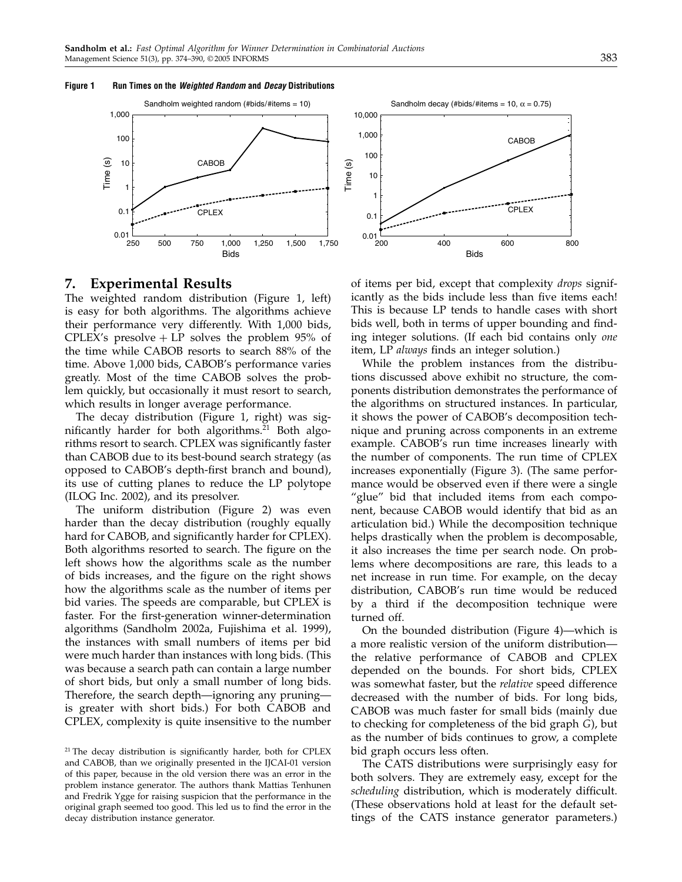



## $0.01$   $-$ <br>200 0.1 1 10 100 1,000 10,000 200 400 600 800 **Bids** CABOB **CPLEX**

Sandholm decay (#bids/#items = 10,  $\alpha$  = 0.75)

## 7. Experimental Results

The weighted random distribution (Figure 1, left) is easy for both algorithms. The algorithms achieve their performance very differently. With 1,000 bids, CPLEX's presolve  $+$  LP solves the problem 95% of the time while CABOB resorts to search 88% of the time. Above 1,000 bids, CABOB's performance varies greatly. Most of the time CABOB solves the problem quickly, but occasionally it must resort to search, which results in longer average performance.

The decay distribution (Figure 1, right) was significantly harder for both algorithms.<sup>21</sup> Both algorithms resort to search. CPLEX was significantly faster than CABOB due to its best-bound search strategy (as opposed to CABOB's depth-first branch and bound), its use of cutting planes to reduce the LP polytope (ILOG Inc. 2002), and its presolver.

The uniform distribution (Figure 2) was even harder than the decay distribution (roughly equally hard for CABOB, and significantly harder for CPLEX). Both algorithms resorted to search. The figure on the left shows how the algorithms scale as the number of bids increases, and the figure on the right shows how the algorithms scale as the number of items per bid varies. The speeds are comparable, but CPLEX is faster. For the first-generation winner-determination algorithms (Sandholm 2002a, Fujishima et al. 1999), the instances with small numbers of items per bid were much harder than instances with long bids. (This was because a search path can contain a large number of short bids, but only a small number of long bids. Therefore, the search depth—ignoring any pruning is greater with short bids.) For both CABOB and CPLEX, complexity is quite insensitive to the number

<sup>21</sup> The decay distribution is significantly harder, both for CPLEX and CABOB, than we originally presented in the IJCAI-01 version of this paper, because in the old version there was an error in the problem instance generator. The authors thank Mattias Tenhunen and Fredrik Ygge for raising suspicion that the performance in the original graph seemed too good. This led us to find the error in the decay distribution instance generator.

of items per bid, except that complexity drops significantly as the bids include less than five items each! This is because LP tends to handle cases with short bids well, both in terms of upper bounding and finding integer solutions. (If each bid contains only one item, LP always finds an integer solution.)

While the problem instances from the distributions discussed above exhibit no structure, the components distribution demonstrates the performance of the algorithms on structured instances. In particular, it shows the power of CABOB's decomposition technique and pruning across components in an extreme example. CABOB's run time increases linearly with the number of components. The run time of CPLEX increases exponentially (Figure 3). (The same performance would be observed even if there were a single "glue" bid that included items from each component, because CABOB would identify that bid as an articulation bid.) While the decomposition technique helps drastically when the problem is decomposable, it also increases the time per search node. On problems where decompositions are rare, this leads to a net increase in run time. For example, on the decay distribution, CABOB's run time would be reduced by a third if the decomposition technique were turned off.

On the bounded distribution (Figure 4)—which is a more realistic version of the uniform distribution the relative performance of CABOB and CPLEX depended on the bounds. For short bids, CPLEX was somewhat faster, but the relative speed difference decreased with the number of bids. For long bids, CABOB was much faster for small bids (mainly due to checking for completeness of the bid graph G), but as the number of bids continues to grow, a complete bid graph occurs less often.

The CATS distributions were surprisingly easy for both solvers. They are extremely easy, except for the scheduling distribution, which is moderately difficult. (These observations hold at least for the default settings of the CATS instance generator parameters.)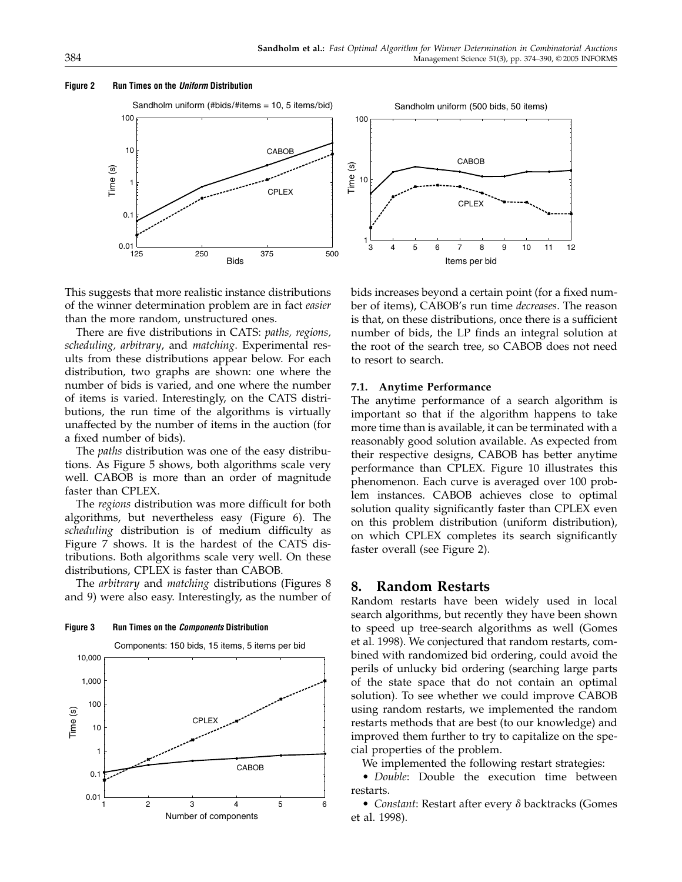#### Figure 2 Run Times on the Uniform Distribution





This suggests that more realistic instance distributions of the winner determination problem are in fact easier than the more random, unstructured ones.

There are five distributions in CATS: paths, regions, scheduling, arbitrary, and matching. Experimental results from these distributions appear below. For each distribution, two graphs are shown: one where the number of bids is varied, and one where the number of items is varied. Interestingly, on the CATS distributions, the run time of the algorithms is virtually unaffected by the number of items in the auction (for a fixed number of bids).

The *paths* distribution was one of the easy distributions. As Figure 5 shows, both algorithms scale very well. CABOB is more than an order of magnitude faster than CPLEX.

The regions distribution was more difficult for both algorithms, but nevertheless easy (Figure 6). The scheduling distribution is of medium difficulty as Figure 7 shows. It is the hardest of the CATS distributions. Both algorithms scale very well. On these distributions, CPLEX is faster than CABOB.

The arbitrary and matching distributions (Figures 8 and 9) were also easy. Interestingly, as the number of





bids increases beyond a certain point (for a fixed number of items), CABOB's run time decreases. The reason is that, on these distributions, once there is a sufficient number of bids, the LP finds an integral solution at the root of the search tree, so CABOB does not need to resort to search.

#### 7.1. Anytime Performance

The anytime performance of a search algorithm is important so that if the algorithm happens to take more time than is available, it can be terminated with a reasonably good solution available. As expected from their respective designs, CABOB has better anytime performance than CPLEX. Figure 10 illustrates this phenomenon. Each curve is averaged over 100 problem instances. CABOB achieves close to optimal solution quality significantly faster than CPLEX even on this problem distribution (uniform distribution), on which CPLEX completes its search significantly faster overall (see Figure 2).

## 8. Random Restarts

Random restarts have been widely used in local search algorithms, but recently they have been shown to speed up tree-search algorithms as well (Gomes et al. 1998). We conjectured that random restarts, combined with randomized bid ordering, could avoid the perils of unlucky bid ordering (searching large parts of the state space that do not contain an optimal solution). To see whether we could improve CABOB using random restarts, we implemented the random restarts methods that are best (to our knowledge) and improved them further to try to capitalize on the special properties of the problem.

We implemented the following restart strategies:

• Double: Double the execution time between restarts.

• Constant: Restart after every  $\delta$  backtracks (Gomes et al. 1998).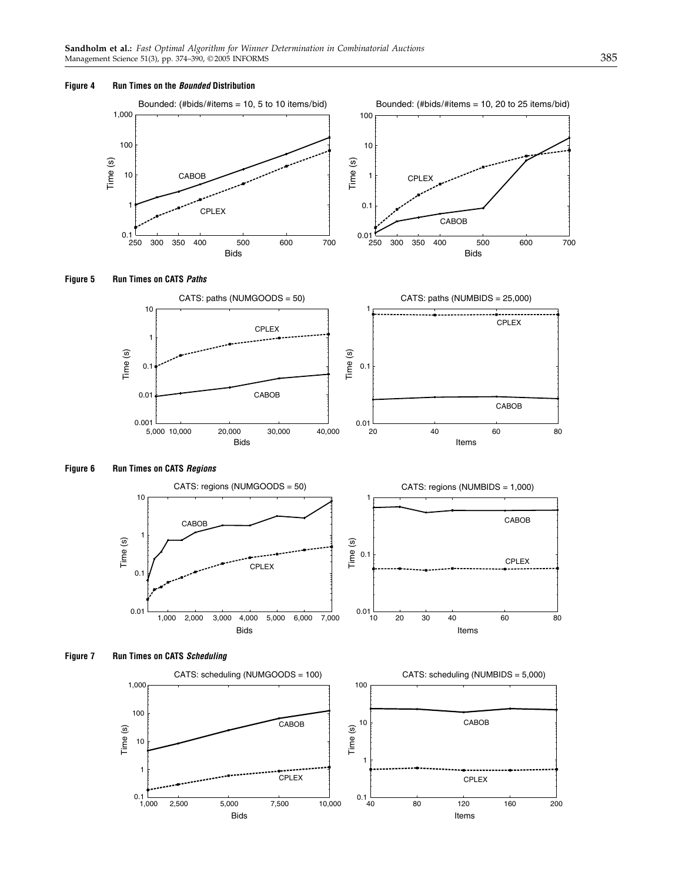#### Figure 4 Run Times on the *Bounded* Distribution







#### Figure 6 Run Times on CATS Regions







#### Figure 7 Run Times on CATS Scheduling

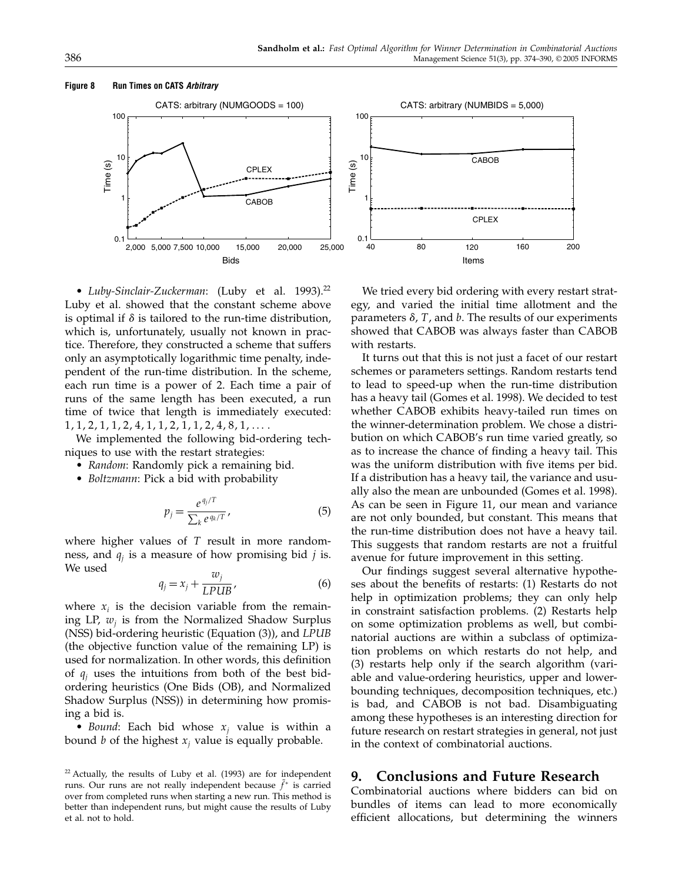

#### Figure 8 Run Times on CATS Arbitrary

• Luby-Sinclair-Zuckerman: (Luby et al. 1993).<sup>22</sup> Luby et al. showed that the constant scheme above is optimal if  $\delta$  is tailored to the run-time distribution, which is, unfortunately, usually not known in practice. Therefore, they constructed a scheme that suffers only an asymptotically logarithmic time penalty, independent of the run-time distribution. In the scheme, each run time is a power of 2. Each time a pair of runs of the same length has been executed, a run time of twice that length is immediately executed:  $1, 1, 2, 1, 1, 2, 4, 1, 1, 2, 1, 1, 2, 4, 8, 1, \ldots$ 

We implemented the following bid-ordering techniques to use with the restart strategies:

- Random: Randomly pick a remaining bid.
- Boltzmann: Pick a bid with probability

$$
p_j = \frac{e^{q_j/T}}{\sum_k e^{q_k/T}},
$$
\n(5)

where higher values of T result in more randomness, and  $q_i$  is a measure of how promising bid *j* is. We used

$$
q_j = x_j + \frac{w_j}{LPUB},\tag{6}
$$

where  $x_i$  is the decision variable from the remaining LP,  $w_i$  is from the Normalized Shadow Surplus (NSS) bid-ordering heuristic (Equation (3)), and LPUB (the objective function value of the remaining LP) is used for normalization. In other words, this definition of  $q_i$  uses the intuitions from both of the best bidordering heuristics (One Bids (OB), and Normalized Shadow Surplus (NSS)) in determining how promising a bid is.

• Bound: Each bid whose  $x_i$  value is within a bound b of the highest  $x_i$  value is equally probable.

We tried every bid ordering with every restart strategy, and varied the initial time allotment and the parameters  $\delta$ , T, and  $b$ . The results of our experiments showed that CABOB was always faster than CABOB with restarts.

It turns out that this is not just a facet of our restart schemes or parameters settings. Random restarts tend to lead to speed-up when the run-time distribution has a heavy tail (Gomes et al. 1998). We decided to test whether CABOB exhibits heavy-tailed run times on the winner-determination problem. We chose a distribution on which CABOB's run time varied greatly, so as to increase the chance of finding a heavy tail. This was the uniform distribution with five items per bid. If a distribution has a heavy tail, the variance and usually also the mean are unbounded (Gomes et al. 1998). As can be seen in Figure 11, our mean and variance are not only bounded, but constant. This means that the run-time distribution does not have a heavy tail. This suggests that random restarts are not a fruitful avenue for future improvement in this setting.

Our findings suggest several alternative hypotheses about the benefits of restarts: (1) Restarts do not help in optimization problems; they can only help in constraint satisfaction problems. (2) Restarts help on some optimization problems as well, but combinatorial auctions are within a subclass of optimization problems on which restarts do not help, and (3) restarts help only if the search algorithm (variable and value-ordering heuristics, upper and lowerbounding techniques, decomposition techniques, etc.) is bad, and CABOB is not bad. Disambiguating among these hypotheses is an interesting direction for future research on restart strategies in general, not just in the context of combinatorial auctions.

## 9. Conclusions and Future Research

Combinatorial auctions where bidders can bid on bundles of items can lead to more economically efficient allocations, but determining the winners

 $22$  Actually, the results of Luby et al. (1993) are for independent runs. Our runs are not really independent because  $\tilde{f}^*$  is carried over from completed runs when starting a new run. This method is better than independent runs, but might cause the results of Luby et al. not to hold.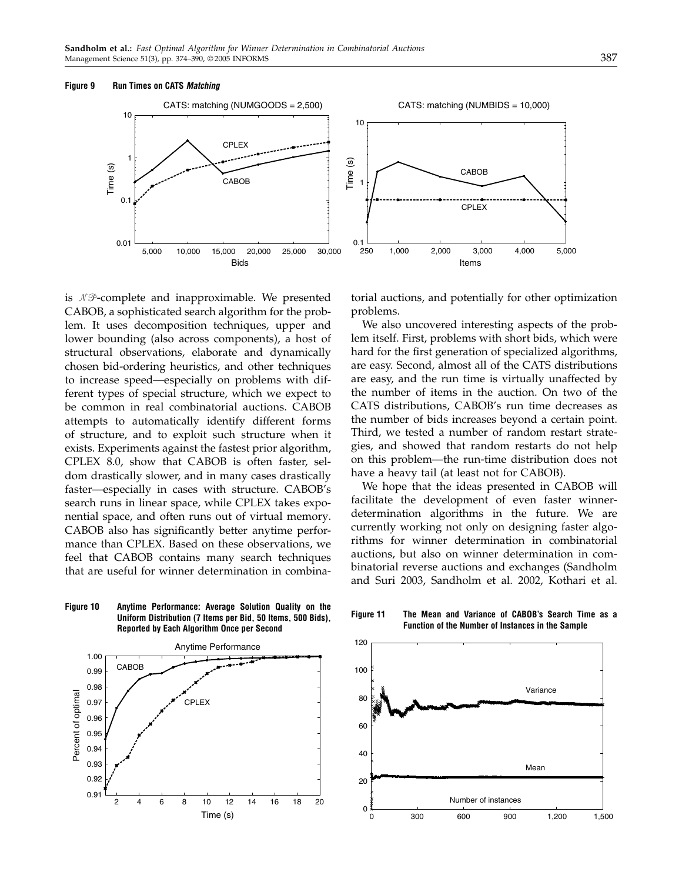#### Figure 9 Run Times on CATS Matching



is  $\mathcal N\mathcal P$ -complete and inapproximable. We presented CABOB, a sophisticated search algorithm for the problem. It uses decomposition techniques, upper and lower bounding (also across components), a host of structural observations, elaborate and dynamically chosen bid-ordering heuristics, and other techniques to increase speed—especially on problems with different types of special structure, which we expect to be common in real combinatorial auctions. CABOB attempts to automatically identify different forms of structure, and to exploit such structure when it exists. Experiments against the fastest prior algorithm, CPLEX 8.0, show that CABOB is often faster, seldom drastically slower, and in many cases drastically faster—especially in cases with structure. CABOB's search runs in linear space, while CPLEX takes exponential space, and often runs out of virtual memory. CABOB also has significantly better anytime performance than CPLEX. Based on these observations, we feel that CABOB contains many search techniques that are useful for winner determination in combina-

Figure 10 Anytime Performance: Average Solution Quality on the Uniform Distribution (7 Items per Bid, 50 Items, 500 Bids), Reported by Each Algorithm Once per Second



torial auctions, and potentially for other optimization problems.

We also uncovered interesting aspects of the problem itself. First, problems with short bids, which were hard for the first generation of specialized algorithms, are easy. Second, almost all of the CATS distributions are easy, and the run time is virtually unaffected by the number of items in the auction. On two of the CATS distributions, CABOB's run time decreases as the number of bids increases beyond a certain point. Third, we tested a number of random restart strategies, and showed that random restarts do not help on this problem—the run-time distribution does not have a heavy tail (at least not for CABOB).

We hope that the ideas presented in CABOB will facilitate the development of even faster winnerdetermination algorithms in the future. We are currently working not only on designing faster algorithms for winner determination in combinatorial auctions, but also on winner determination in combinatorial reverse auctions and exchanges (Sandholm and Suri 2003, Sandholm et al. 2002, Kothari et al.

Figure 11 The Mean and Variance of CABOB's Search Time as a Function of the Number of Instances in the Sample

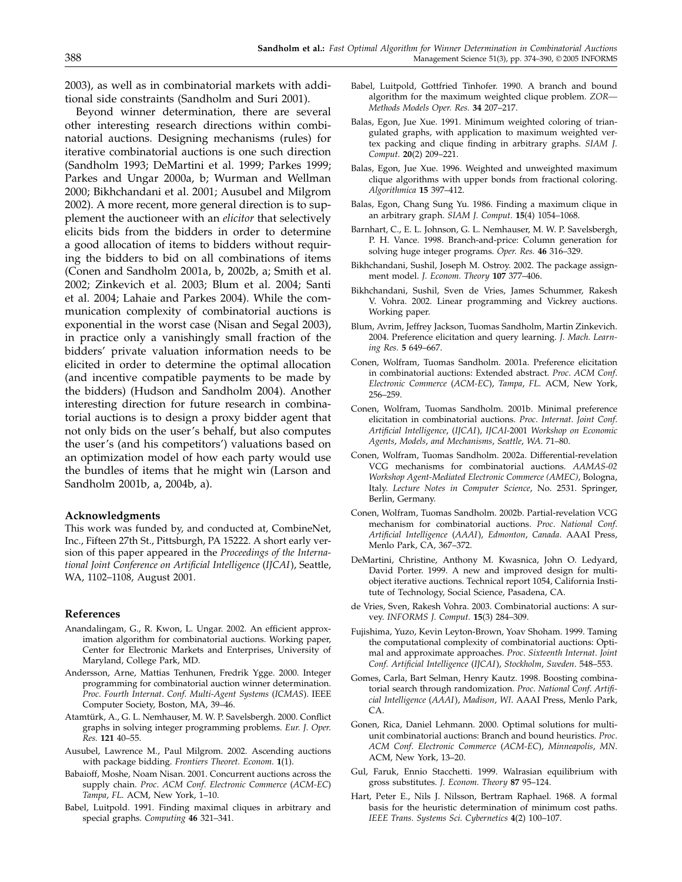2003), as well as in combinatorial markets with additional side constraints (Sandholm and Suri 2001).

Beyond winner determination, there are several other interesting research directions within combinatorial auctions. Designing mechanisms (rules) for iterative combinatorial auctions is one such direction (Sandholm 1993; DeMartini et al. 1999; Parkes 1999; Parkes and Ungar 2000a, b; Wurman and Wellman 2000; Bikhchandani et al. 2001; Ausubel and Milgrom 2002). A more recent, more general direction is to supplement the auctioneer with an *elicitor* that selectively elicits bids from the bidders in order to determine a good allocation of items to bidders without requiring the bidders to bid on all combinations of items (Conen and Sandholm 2001a, b, 2002b, a; Smith et al. 2002; Zinkevich et al. 2003; Blum et al. 2004; Santi et al. 2004; Lahaie and Parkes 2004). While the communication complexity of combinatorial auctions is exponential in the worst case (Nisan and Segal 2003), in practice only a vanishingly small fraction of the bidders' private valuation information needs to be elicited in order to determine the optimal allocation (and incentive compatible payments to be made by the bidders) (Hudson and Sandholm 2004). Another interesting direction for future research in combinatorial auctions is to design a proxy bidder agent that not only bids on the user's behalf, but also computes the user's (and his competitors') valuations based on an optimization model of how each party would use the bundles of items that he might win (Larson and Sandholm 2001b, a, 2004b, a).

#### Acknowledgments

This work was funded by, and conducted at, CombineNet, Inc., Fifteen 27th St., Pittsburgh, PA 15222. A short early version of this paper appeared in the Proceedings of the International Joint Conference on Artificial Intelligence (IJCAI), Seattle, WA, 1102–1108, August 2001.

#### References

- Anandalingam, G., R. Kwon, L. Ungar. 2002. An efficient approximation algorithm for combinatorial auctions. Working paper, Center for Electronic Markets and Enterprises, University of Maryland, College Park, MD.
- Andersson, Arne, Mattias Tenhunen, Fredrik Ygge. 2000. Integer programming for combinatorial auction winner determination. Proc. Fourth Internat. Conf. Multi-Agent Systems (ICMAS). IEEE Computer Society, Boston, MA, 39–46.
- Atamtürk, A., G. L. Nemhauser, M. W. P. Savelsbergh. 2000. Conflict graphs in solving integer programming problems. Eur. J. Oper. Res. 121 40–55.
- Ausubel, Lawrence M., Paul Milgrom. 2002. Ascending auctions with package bidding. Frontiers Theoret. Econom. 1(1).
- Babaioff, Moshe, Noam Nisan. 2001. Concurrent auctions across the supply chain. Proc. ACM Conf. Electronic Commerce (ACM-EC) Tampa, FL. ACM, New York, 1–10.
- Babel, Luitpold. 1991. Finding maximal cliques in arbitrary and special graphs. Computing 46 321–341.
- Babel, Luitpold, Gottfried Tinhofer. 1990. A branch and bound algorithm for the maximum weighted clique problem. ZOR— Methods Models Oper. Res. 34 207–217.
- Balas, Egon, Jue Xue. 1991. Minimum weighted coloring of triangulated graphs, with application to maximum weighted vertex packing and clique finding in arbitrary graphs. SIAM J. Comput. 20(2) 209–221.
- Balas, Egon, Jue Xue. 1996. Weighted and unweighted maximum clique algorithms with upper bonds from fractional coloring. Algorithmica 15 397–412.
- Balas, Egon, Chang Sung Yu. 1986. Finding a maximum clique in an arbitrary graph. SIAM J. Comput. 15(4) 1054–1068.
- Barnhart, C., E. L. Johnson, G. L. Nemhauser, M. W. P. Savelsbergh, P. H. Vance. 1998. Branch-and-price: Column generation for solving huge integer programs. Oper. Res. 46 316–329.
- Bikhchandani, Sushil, Joseph M. Ostroy. 2002. The package assignment model. J. Econom. Theory 107 377–406.
- Bikhchandani, Sushil, Sven de Vries, James Schummer, Rakesh V. Vohra. 2002. Linear programming and Vickrey auctions. Working paper.
- Blum, Avrim, Jeffrey Jackson, Tuomas Sandholm, Martin Zinkevich. 2004. Preference elicitation and query learning. J. Mach. Learning Res. 5 649–667.
- Conen, Wolfram, Tuomas Sandholm. 2001a. Preference elicitation in combinatorial auctions: Extended abstract. Proc. ACM Conf. Electronic Commerce (ACM-EC), Tampa, FL. ACM, New York, 256–259.
- Conen, Wolfram, Tuomas Sandholm. 2001b. Minimal preference elicitation in combinatorial auctions. Proc. Internat. Joint Conf. Artificial Intelligence, (IJCAI), IJCAI-2001 Workshop on Economic Agents, Models, and Mechanisms, Seattle, WA. 71–80.
- Conen, Wolfram, Tuomas Sandholm. 2002a. Differential-revelation VCG mechanisms for combinatorial auctions. AAMAS-02 Workshop Agent-Mediated Electronic Commerce (AMEC), Bologna, Italy. Lecture Notes in Computer Science, No. 2531. Springer, Berlin, Germany.
- Conen, Wolfram, Tuomas Sandholm. 2002b. Partial-revelation VCG mechanism for combinatorial auctions. Proc. National Conf. Artificial Intelligence (AAAI), Edmonton, Canada. AAAI Press, Menlo Park, CA, 367–372.
- DeMartini, Christine, Anthony M. Kwasnica, John O. Ledyard, David Porter. 1999. A new and improved design for multiobject iterative auctions. Technical report 1054, California Institute of Technology, Social Science, Pasadena, CA.
- de Vries, Sven, Rakesh Vohra. 2003. Combinatorial auctions: A survey. INFORMS J. Comput. 15(3) 284–309.
- Fujishima, Yuzo, Kevin Leyton-Brown, Yoav Shoham. 1999. Taming the computational complexity of combinatorial auctions: Optimal and approximate approaches. Proc. Sixteenth Internat. Joint Conf. Artificial Intelligence (IJCAI ), Stockholm, Sweden. 548–553.
- Gomes, Carla, Bart Selman, Henry Kautz. 1998. Boosting combinatorial search through randomization. Proc. National Conf. Artificial Intelligence (AAAI), Madison, WI. AAAI Press, Menlo Park, CA.
- Gonen, Rica, Daniel Lehmann. 2000. Optimal solutions for multiunit combinatorial auctions: Branch and bound heuristics. Proc. ACM Conf. Electronic Commerce (ACM-EC), Minneapolis, MN. ACM, New York, 13–20.
- Gul, Faruk, Ennio Stacchetti. 1999. Walrasian equilibrium with gross substitutes. J. Econom. Theory 87 95–124.
- Hart, Peter E., Nils J. Nilsson, Bertram Raphael. 1968. A formal basis for the heuristic determination of minimum cost paths. IEEE Trans. Systems Sci. Cybernetics 4(2) 100–107.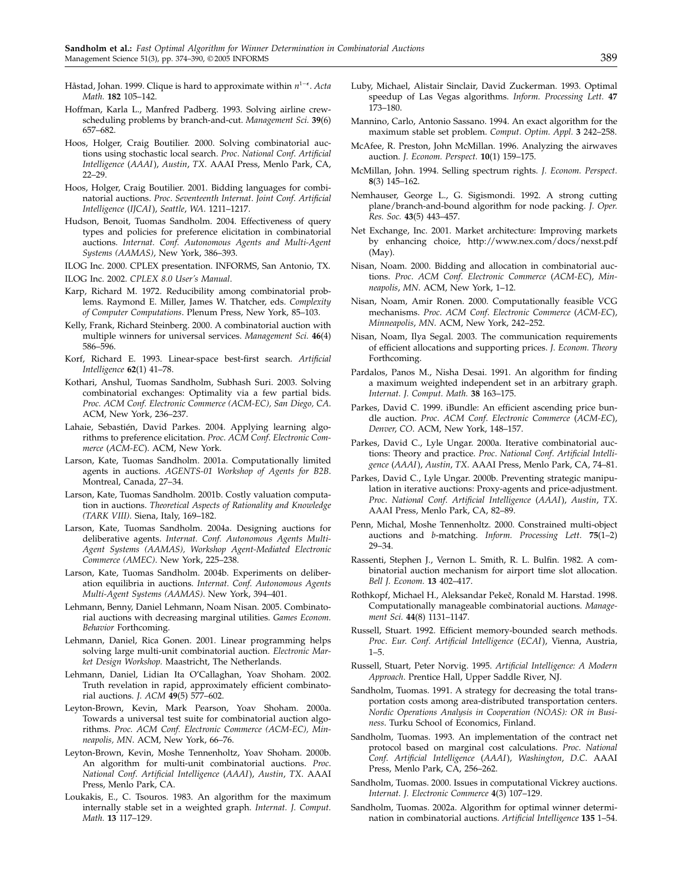- Håstad, Johan. 1999. Clique is hard to approximate within  $n^{1-\epsilon}$ . Acta Math. 182 105–142.
- Hoffman, Karla L., Manfred Padberg. 1993. Solving airline crewscheduling problems by branch-and-cut. Management Sci. 39(6) 657–682.
- Hoos, Holger, Craig Boutilier. 2000. Solving combinatorial auctions using stochastic local search. Proc. National Conf. Artificial Intelligence (AAAI), Austin, TX. AAAI Press, Menlo Park, CA, 22–29.
- Hoos, Holger, Craig Boutilier. 2001. Bidding languages for combinatorial auctions. Proc. Seventeenth Internat. Joint Conf. Artificial Intelligence (IJCAI), Seattle, WA. 1211-1217.
- Hudson, Benoit, Tuomas Sandholm. 2004. Effectiveness of query types and policies for preference elicitation in combinatorial auctions. Internat. Conf. Autonomous Agents and Multi-Agent Systems (AAMAS), New York, 386–393.
- ILOG Inc. 2000. CPLEX presentation. INFORMS, San Antonio, TX.
- ILOG Inc. 2002. CPLEX 8.0 User's Manual.
- Karp, Richard M. 1972. Reducibility among combinatorial problems. Raymond E. Miller, James W. Thatcher, eds. Complexity of Computer Computations. Plenum Press, New York, 85–103.
- Kelly, Frank, Richard Steinberg. 2000. A combinatorial auction with multiple winners for universal services. Management Sci. 46(4) 586–596.
- Korf, Richard E. 1993. Linear-space best-first search. Artificial Intelligence 62(1) 41–78.
- Kothari, Anshul, Tuomas Sandholm, Subhash Suri. 2003. Solving combinatorial exchanges: Optimality via a few partial bids. Proc. ACM Conf. Electronic Commerce (ACM-EC), San Diego, CA. ACM, New York, 236–237.
- Lahaie, Sebastién, David Parkes. 2004. Applying learning algorithms to preference elicitation. Proc. ACM Conf. Electronic Commerce (ACM-EC). ACM, New York.
- Larson, Kate, Tuomas Sandholm. 2001a. Computationally limited agents in auctions. AGENTS-01 Workshop of Agents for B2B. Montreal, Canada, 27–34.
- Larson, Kate, Tuomas Sandholm. 2001b. Costly valuation computation in auctions. Theoretical Aspects of Rationality and Knowledge (TARK VIII). Siena, Italy, 169–182.
- Larson, Kate, Tuomas Sandholm. 2004a. Designing auctions for deliberative agents. Internat. Conf. Autonomous Agents Multi-Agent Systems (AAMAS), Workshop Agent-Mediated Electronic Commerce (AMEC). New York, 225–238.
- Larson, Kate, Tuomas Sandholm. 2004b. Experiments on deliberation equilibria in auctions. Internat. Conf. Autonomous Agents Multi-Agent Systems (AAMAS). New York, 394–401.
- Lehmann, Benny, Daniel Lehmann, Noam Nisan. 2005. Combinatorial auctions with decreasing marginal utilities. Games Econom. Behavior Forthcoming.
- Lehmann, Daniel, Rica Gonen. 2001. Linear programming helps solving large multi-unit combinatorial auction. Electronic Market Design Workshop. Maastricht, The Netherlands.
- Lehmann, Daniel, Lidian Ita O'Callaghan, Yoav Shoham. 2002. Truth revelation in rapid, approximately efficient combinatorial auctions. J. ACM 49(5) 577–602.
- Leyton-Brown, Kevin, Mark Pearson, Yoav Shoham. 2000a. Towards a universal test suite for combinatorial auction algorithms. Proc. ACM Conf. Electronic Commerce (ACM-EC), Minneapolis, MN. ACM, New York, 66–76.
- Leyton-Brown, Kevin, Moshe Tennenholtz, Yoav Shoham. 2000b. An algorithm for multi-unit combinatorial auctions. Proc. National Conf. Artificial Intelligence (AAAI), Austin, TX. AAAI Press, Menlo Park, CA.
- Loukakis, E., C. Tsouros. 1983. An algorithm for the maximum internally stable set in a weighted graph. Internat. J. Comput. Math. 13 117–129.
- Luby, Michael, Alistair Sinclair, David Zuckerman. 1993. Optimal speedup of Las Vegas algorithms. Inform. Processing Lett. 47 173–180.
- Mannino, Carlo, Antonio Sassano. 1994. An exact algorithm for the maximum stable set problem. Comput. Optim. Appl. 3 242–258.
- McAfee, R. Preston, John McMillan. 1996. Analyzing the airwaves auction. J. Econom. Perspect. 10(1) 159–175.
- McMillan, John. 1994. Selling spectrum rights. J. Econom. Perspect. 8(3) 145–162.
- Nemhauser, George L., G. Sigismondi. 1992. A strong cutting plane/branch-and-bound algorithm for node packing. J. Oper. Res. Soc. 43(5) 443–457.
- Net Exchange, Inc. 2001. Market architecture: Improving markets by enhancing choice, http://www.nex.com/docs/nexst.pdf (May).
- Nisan, Noam. 2000. Bidding and allocation in combinatorial auctions. Proc. ACM Conf. Electronic Commerce (ACM-EC), Minneapolis, MN. ACM, New York, 1–12.
- Nisan, Noam, Amir Ronen. 2000. Computationally feasible VCG mechanisms. Proc. ACM Conf. Electronic Commerce (ACM-EC), Minneapolis, MN. ACM, New York, 242–252.
- Nisan, Noam, Ilya Segal. 2003. The communication requirements of efficient allocations and supporting prices. J. Econom. Theory Forthcoming.
- Pardalos, Panos M., Nisha Desai. 1991. An algorithm for finding a maximum weighted independent set in an arbitrary graph. Internat. J. Comput. Math. 38 163–175.
- Parkes, David C. 1999. iBundle: An efficient ascending price bundle auction. Proc. ACM Conf. Electronic Commerce (ACM-EC), Denver, CO. ACM, New York, 148–157.
- Parkes, David C., Lyle Ungar. 2000a. Iterative combinatorial auctions: Theory and practice. Proc. National Conf. Artificial Intelligence (AAAI), Austin, TX. AAAI Press, Menlo Park, CA, 74-81.
- Parkes, David C., Lyle Ungar. 2000b. Preventing strategic manipulation in iterative auctions: Proxy-agents and price-adjustment. Proc. National Conf. Artificial Intelligence (AAAI), Austin, TX. AAAI Press, Menlo Park, CA, 82–89.
- Penn, Michal, Moshe Tennenholtz. 2000. Constrained multi-object auctions and b-matching. Inform. Processing Lett. 75(1–2) 29–34.
- Rassenti, Stephen J., Vernon L. Smith, R. L. Bulfin. 1982. A combinatorial auction mechanism for airport time slot allocation. Bell J. Econom. 13 402–417.
- Rothkopf, Michael H., Aleksandar Pekeč, Ronald M. Harstad. 1998. Computationally manageable combinatorial auctions. Management Sci. 44(8) 1131–1147.
- Russell, Stuart. 1992. Efficient memory-bounded search methods. Proc. Eur. Conf. Artificial Intelligence (ECAI), Vienna, Austria,  $1 - 5$ .
- Russell, Stuart, Peter Norvig. 1995. Artificial Intelligence: A Modern Approach. Prentice Hall, Upper Saddle River, NJ.
- Sandholm, Tuomas. 1991. A strategy for decreasing the total transportation costs among area-distributed transportation centers. Nordic Operations Analysis in Cooperation (NOAS): OR in Business. Turku School of Economics, Finland.
- Sandholm, Tuomas. 1993. An implementation of the contract net protocol based on marginal cost calculations. Proc. National Conf. Artificial Intelligence (AAAI), Washington, D.C. AAAI Press, Menlo Park, CA, 256–262.
- Sandholm, Tuomas. 2000. Issues in computational Vickrey auctions. Internat. J. Electronic Commerce 4(3) 107–129.
- Sandholm, Tuomas. 2002a. Algorithm for optimal winner determination in combinatorial auctions. Artificial Intelligence 135 1–54.